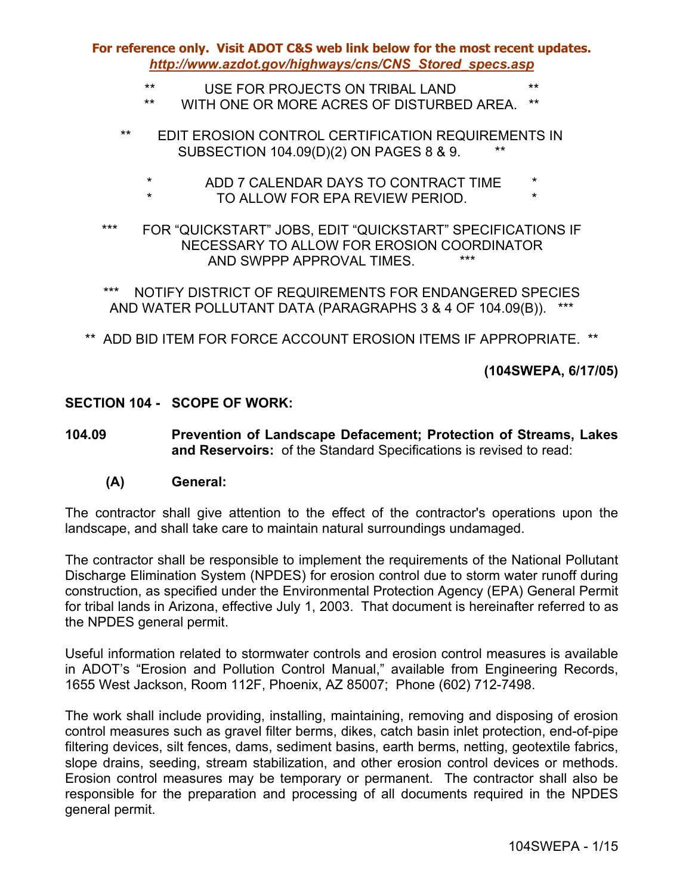- \*\* USE FOR PROJECTS ON TRIBAL LAND \*\*
- WITH ONE OR MORE ACRES OF DISTURBED AREA.
- \*\* EDIT EROSION CONTROL CERTIFICATION REQUIREMENTS IN SUBSECTION 104.09(D)(2) ON PAGES 8 & 9. \*\*
	- \* ADD 7 CALENDAR DAYS TO CONTRACT TIME \*
	- TO ALLOW FOR EPA REVIEW PERIOD.
- \*\*\* FOR "QUICKSTART" JOBS, EDIT "QUICKSTART" SPECIFICATIONS IF NECESSARY TO ALLOW FOR EROSION COORDINATOR AND SWPPP APPROVAL TIMES.

\*\*\* NOTIFY DISTRICT OF REQUIREMENTS FOR ENDANGERED SPECIES AND WATER POLLUTANT DATA (PARAGRAPHS 3 & 4 OF 104.09(B)). \*\*\*

\*\* ADD BID ITEM FOR FORCE ACCOUNT EROSION ITEMS IF APPROPRIATE. \*\*

**(104SWEPA, 6/17/05)** 

### **SECTION 104 - SCOPE OF WORK:**

**104.09 Prevention of Landscape Defacement; Protection of Streams, Lakes and Reservoirs:** of the Standard Specifications is revised to read:

#### **(A) General:**

The contractor shall give attention to the effect of the contractor's operations upon the landscape, and shall take care to maintain natural surroundings undamaged.

The contractor shall be responsible to implement the requirements of the National Pollutant Discharge Elimination System (NPDES) for erosion control due to storm water runoff during construction, as specified under the Environmental Protection Agency (EPA) General Permit for tribal lands in Arizona, effective July 1, 2003. That document is hereinafter referred to as the NPDES general permit.

Useful information related to stormwater controls and erosion control measures is available in ADOT's "Erosion and Pollution Control Manual," available from Engineering Records, 1655 West Jackson, Room 112F, Phoenix, AZ 85007; Phone (602) 712-7498.

The work shall include providing, installing, maintaining, removing and disposing of erosion control measures such as gravel filter berms, dikes, catch basin inlet protection, end-of-pipe filtering devices, silt fences, dams, sediment basins, earth berms, netting, geotextile fabrics, slope drains, seeding, stream stabilization, and other erosion control devices or methods. Erosion control measures may be temporary or permanent. The contractor shall also be responsible for the preparation and processing of all documents required in the NPDES general permit.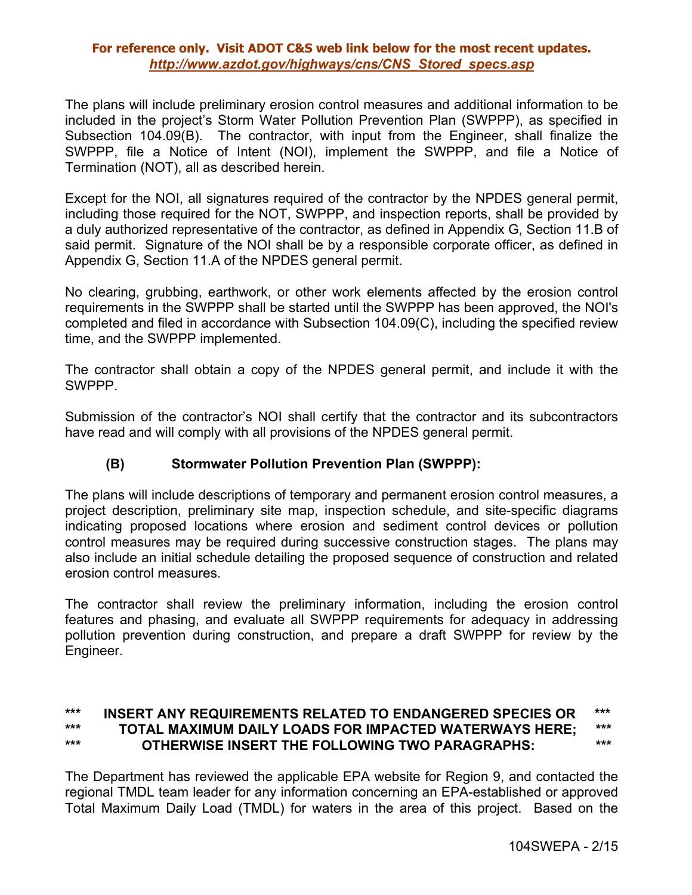The plans will include preliminary erosion control measures and additional information to be included in the project's Storm Water Pollution Prevention Plan (SWPPP), as specified in Subsection 104.09(B). The contractor, with input from the Engineer, shall finalize the SWPPP, file a Notice of Intent (NOI), implement the SWPPP, and file a Notice of Termination (NOT), all as described herein.

Except for the NOI, all signatures required of the contractor by the NPDES general permit, including those required for the NOT, SWPPP, and inspection reports, shall be provided by a duly authorized representative of the contractor, as defined in Appendix G, Section 11.B of said permit. Signature of the NOI shall be by a responsible corporate officer, as defined in Appendix G, Section 11.A of the NPDES general permit.

No clearing, grubbing, earthwork, or other work elements affected by the erosion control requirements in the SWPPP shall be started until the SWPPP has been approved, the NOI's completed and filed in accordance with Subsection 104.09(C), including the specified review time, and the SWPPP implemented.

The contractor shall obtain a copy of the NPDES general permit, and include it with the SWPPP.

Submission of the contractor's NOI shall certify that the contractor and its subcontractors have read and will comply with all provisions of the NPDES general permit.

# **(B) Stormwater Pollution Prevention Plan (SWPPP):**

The plans will include descriptions of temporary and permanent erosion control measures, a project description, preliminary site map, inspection schedule, and site-specific diagrams indicating proposed locations where erosion and sediment control devices or pollution control measures may be required during successive construction stages. The plans may also include an initial schedule detailing the proposed sequence of construction and related erosion control measures.

The contractor shall review the preliminary information, including the erosion control features and phasing, and evaluate all SWPPP requirements for adequacy in addressing pollution prevention during construction, and prepare a draft SWPPP for review by the Engineer.

### **\*\*\* INSERT ANY REQUIREMENTS RELATED TO ENDANGERED SPECIES OR \*\*\* \*\*\* TOTAL MAXIMUM DAILY LOADS FOR IMPACTED WATERWAYS HERE; \*\*\* \*\*\* OTHERWISE INSERT THE FOLLOWING TWO PARAGRAPHS: \*\*\***

The Department has reviewed the applicable EPA website for Region 9, and contacted the regional TMDL team leader for any information concerning an EPA-established or approved Total Maximum Daily Load (TMDL) for waters in the area of this project. Based on the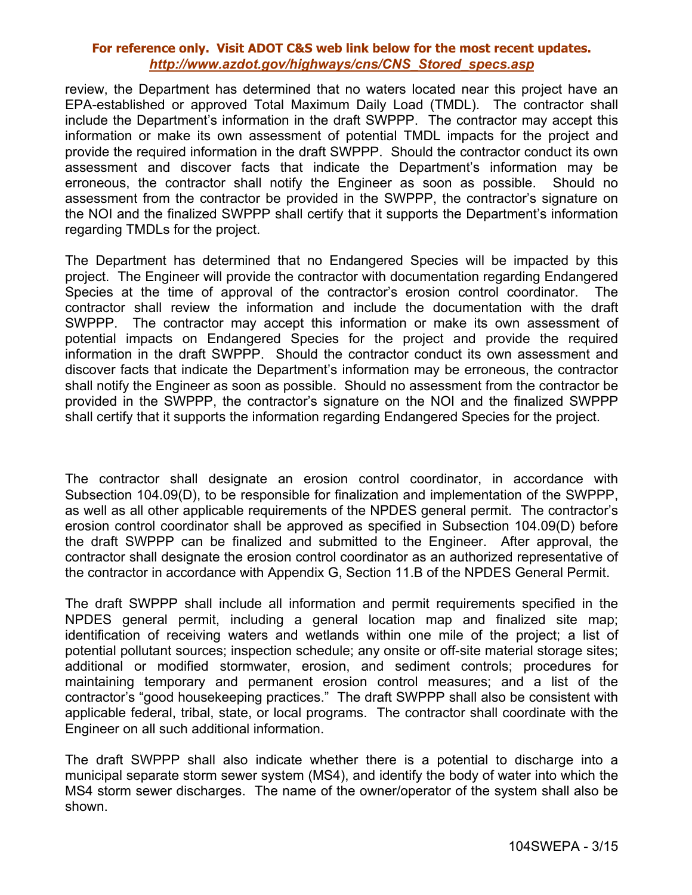review, the Department has determined that no waters located near this project have an EPA-established or approved Total Maximum Daily Load (TMDL). The contractor shall include the Department's information in the draft SWPPP. The contractor may accept this information or make its own assessment of potential TMDL impacts for the project and provide the required information in the draft SWPPP. Should the contractor conduct its own assessment and discover facts that indicate the Department's information may be erroneous, the contractor shall notify the Engineer as soon as possible. Should no assessment from the contractor be provided in the SWPPP, the contractor's signature on the NOI and the finalized SWPPP shall certify that it supports the Department's information regarding TMDLs for the project.

The Department has determined that no Endangered Species will be impacted by this project. The Engineer will provide the contractor with documentation regarding Endangered Species at the time of approval of the contractor's erosion control coordinator. The contractor shall review the information and include the documentation with the draft SWPPP. The contractor may accept this information or make its own assessment of potential impacts on Endangered Species for the project and provide the required information in the draft SWPPP. Should the contractor conduct its own assessment and discover facts that indicate the Department's information may be erroneous, the contractor shall notify the Engineer as soon as possible. Should no assessment from the contractor be provided in the SWPPP, the contractor's signature on the NOI and the finalized SWPPP shall certify that it supports the information regarding Endangered Species for the project.

The contractor shall designate an erosion control coordinator, in accordance with Subsection 104.09(D), to be responsible for finalization and implementation of the SWPPP, as well as all other applicable requirements of the NPDES general permit. The contractor's erosion control coordinator shall be approved as specified in Subsection 104.09(D) before the draft SWPPP can be finalized and submitted to the Engineer. After approval, the contractor shall designate the erosion control coordinator as an authorized representative of the contractor in accordance with Appendix G, Section 11.B of the NPDES General Permit.

The draft SWPPP shall include all information and permit requirements specified in the NPDES general permit, including a general location map and finalized site map; identification of receiving waters and wetlands within one mile of the project; a list of potential pollutant sources; inspection schedule; any onsite or off-site material storage sites; additional or modified stormwater, erosion, and sediment controls; procedures for maintaining temporary and permanent erosion control measures; and a list of the contractor's "good housekeeping practices." The draft SWPPP shall also be consistent with applicable federal, tribal, state, or local programs. The contractor shall coordinate with the Engineer on all such additional information.

The draft SWPPP shall also indicate whether there is a potential to discharge into a municipal separate storm sewer system (MS4), and identify the body of water into which the MS4 storm sewer discharges. The name of the owner/operator of the system shall also be shown.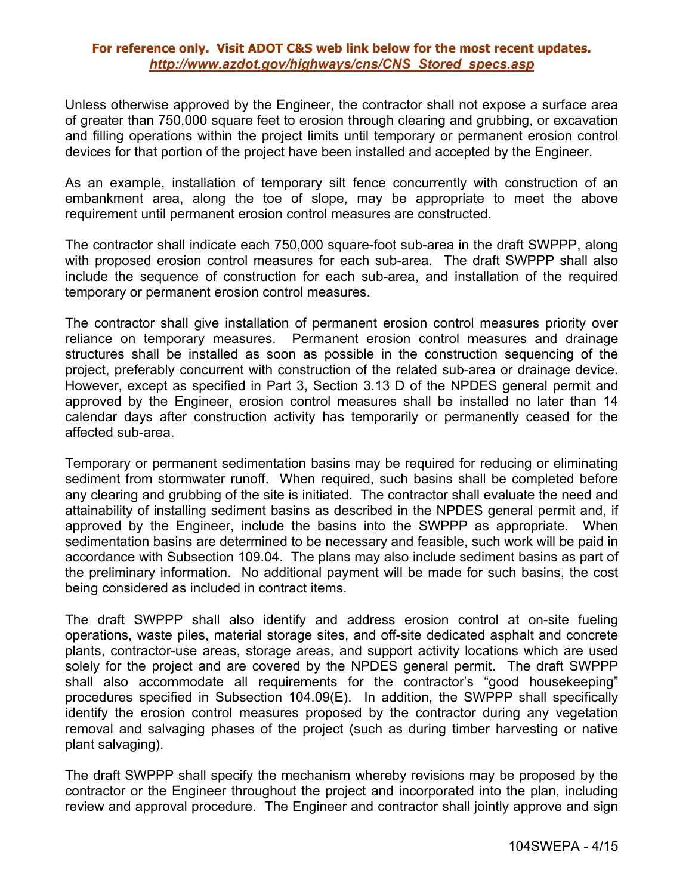Unless otherwise approved by the Engineer, the contractor shall not expose a surface area of greater than 750,000 square feet to erosion through clearing and grubbing, or excavation and filling operations within the project limits until temporary or permanent erosion control devices for that portion of the project have been installed and accepted by the Engineer.

As an example, installation of temporary silt fence concurrently with construction of an embankment area, along the toe of slope, may be appropriate to meet the above requirement until permanent erosion control measures are constructed.

The contractor shall indicate each 750,000 square-foot sub-area in the draft SWPPP, along with proposed erosion control measures for each sub-area. The draft SWPPP shall also include the sequence of construction for each sub-area, and installation of the required temporary or permanent erosion control measures.

The contractor shall give installation of permanent erosion control measures priority over reliance on temporary measures. Permanent erosion control measures and drainage structures shall be installed as soon as possible in the construction sequencing of the project, preferably concurrent with construction of the related sub-area or drainage device. However, except as specified in Part 3, Section 3.13 D of the NPDES general permit and approved by the Engineer, erosion control measures shall be installed no later than 14 calendar days after construction activity has temporarily or permanently ceased for the affected sub-area.

Temporary or permanent sedimentation basins may be required for reducing or eliminating sediment from stormwater runoff. When required, such basins shall be completed before any clearing and grubbing of the site is initiated. The contractor shall evaluate the need and attainability of installing sediment basins as described in the NPDES general permit and, if approved by the Engineer, include the basins into the SWPPP as appropriate. When sedimentation basins are determined to be necessary and feasible, such work will be paid in accordance with Subsection 109.04. The plans may also include sediment basins as part of the preliminary information. No additional payment will be made for such basins, the cost being considered as included in contract items.

The draft SWPPP shall also identify and address erosion control at on-site fueling operations, waste piles, material storage sites, and off-site dedicated asphalt and concrete plants, contractor-use areas, storage areas, and support activity locations which are used solely for the project and are covered by the NPDES general permit. The draft SWPPP shall also accommodate all requirements for the contractor's "good housekeeping" procedures specified in Subsection 104.09(E). In addition, the SWPPP shall specifically identify the erosion control measures proposed by the contractor during any vegetation removal and salvaging phases of the project (such as during timber harvesting or native plant salvaging).

The draft SWPPP shall specify the mechanism whereby revisions may be proposed by the contractor or the Engineer throughout the project and incorporated into the plan, including review and approval procedure. The Engineer and contractor shall jointly approve and sign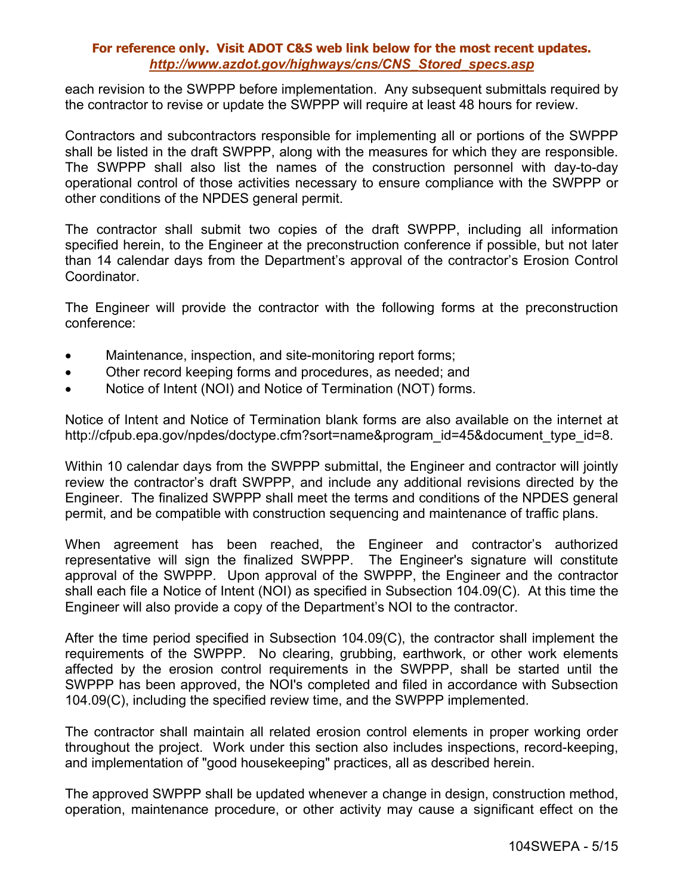each revision to the SWPPP before implementation. Any subsequent submittals required by the contractor to revise or update the SWPPP will require at least 48 hours for review.

Contractors and subcontractors responsible for implementing all or portions of the SWPPP shall be listed in the draft SWPPP, along with the measures for which they are responsible. The SWPPP shall also list the names of the construction personnel with day-to-day operational control of those activities necessary to ensure compliance with the SWPPP or other conditions of the NPDES general permit.

The contractor shall submit two copies of the draft SWPPP, including all information specified herein, to the Engineer at the preconstruction conference if possible, but not later than 14 calendar days from the Department's approval of the contractor's Erosion Control Coordinator.

The Engineer will provide the contractor with the following forms at the preconstruction conference:

- Maintenance, inspection, and site-monitoring report forms;
- Other record keeping forms and procedures, as needed; and
- Notice of Intent (NOI) and Notice of Termination (NOT) forms.

Notice of Intent and Notice of Termination blank forms are also available on the internet at http://cfpub.epa.gov/npdes/doctype.cfm?sort=name&program\_id=45&document\_type\_id=8.

Within 10 calendar days from the SWPPP submittal, the Engineer and contractor will jointly review the contractor's draft SWPPP, and include any additional revisions directed by the Engineer. The finalized SWPPP shall meet the terms and conditions of the NPDES general permit, and be compatible with construction sequencing and maintenance of traffic plans.

When agreement has been reached, the Engineer and contractor's authorized representative will sign the finalized SWPPP. The Engineer's signature will constitute approval of the SWPPP. Upon approval of the SWPPP, the Engineer and the contractor shall each file a Notice of Intent (NOI) as specified in Subsection 104.09(C). At this time the Engineer will also provide a copy of the Department's NOI to the contractor.

After the time period specified in Subsection 104.09(C), the contractor shall implement the requirements of the SWPPP. No clearing, grubbing, earthwork, or other work elements affected by the erosion control requirements in the SWPPP, shall be started until the SWPPP has been approved, the NOI's completed and filed in accordance with Subsection 104.09(C), including the specified review time, and the SWPPP implemented.

The contractor shall maintain all related erosion control elements in proper working order throughout the project. Work under this section also includes inspections, record-keeping, and implementation of "good housekeeping" practices, all as described herein.

The approved SWPPP shall be updated whenever a change in design, construction method, operation, maintenance procedure, or other activity may cause a significant effect on the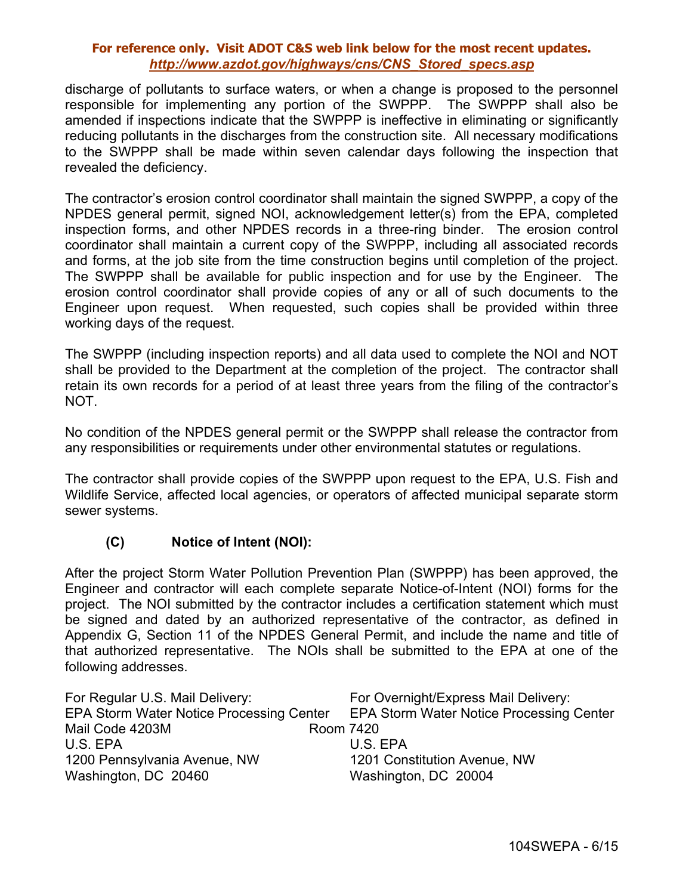discharge of pollutants to surface waters, or when a change is proposed to the personnel responsible for implementing any portion of the SWPPP. The SWPPP shall also be amended if inspections indicate that the SWPPP is ineffective in eliminating or significantly reducing pollutants in the discharges from the construction site. All necessary modifications to the SWPPP shall be made within seven calendar days following the inspection that revealed the deficiency.

The contractor's erosion control coordinator shall maintain the signed SWPPP, a copy of the NPDES general permit, signed NOI, acknowledgement letter(s) from the EPA, completed inspection forms, and other NPDES records in a three-ring binder. The erosion control coordinator shall maintain a current copy of the SWPPP, including all associated records and forms, at the job site from the time construction begins until completion of the project. The SWPPP shall be available for public inspection and for use by the Engineer. The erosion control coordinator shall provide copies of any or all of such documents to the Engineer upon request. When requested, such copies shall be provided within three working days of the request.

The SWPPP (including inspection reports) and all data used to complete the NOI and NOT shall be provided to the Department at the completion of the project. The contractor shall retain its own records for a period of at least three years from the filing of the contractor's NOT.

No condition of the NPDES general permit or the SWPPP shall release the contractor from any responsibilities or requirements under other environmental statutes or regulations.

The contractor shall provide copies of the SWPPP upon request to the EPA, U.S. Fish and Wildlife Service, affected local agencies, or operators of affected municipal separate storm sewer systems.

### **(C) Notice of Intent (NOI):**

After the project Storm Water Pollution Prevention Plan (SWPPP) has been approved, the Engineer and contractor will each complete separate Notice-of-Intent (NOI) forms for the project. The NOI submitted by the contractor includes a certification statement which must be signed and dated by an authorized representative of the contractor, as defined in Appendix G, Section 11 of the NPDES General Permit, and include the name and title of that authorized representative. The NOIs shall be submitted to the EPA at one of the following addresses.

| For Regular U.S. Mail Delivery:          | For Overnight/Express Mail Delivery:     |
|------------------------------------------|------------------------------------------|
| EPA Storm Water Notice Processing Center | EPA Storm Water Notice Processing Center |
| Mail Code 4203M                          | Room 7420                                |
| U.S. EPA                                 | U.S. EPA                                 |
| 1200 Pennsylvania Avenue, NW             | 1201 Constitution Avenue, NW             |
| Washington, DC 20460                     | Washington, DC 20004                     |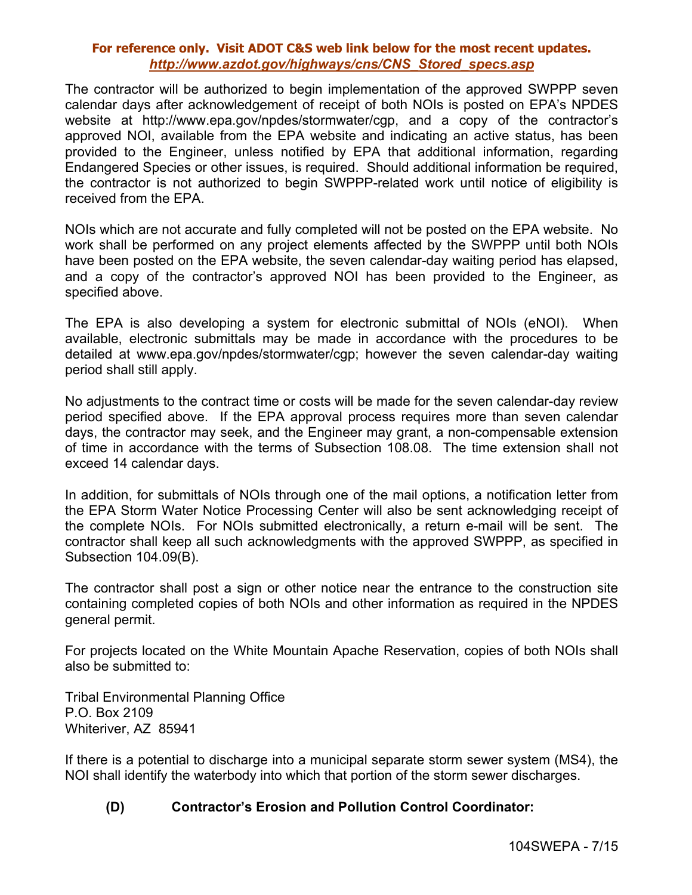The contractor will be authorized to begin implementation of the approved SWPPP seven calendar days after acknowledgement of receipt of both NOIs is posted on EPA's NPDES website at http://www.epa.gov/npdes/stormwater/cgp, and a copy of the contractor's approved NOI, available from the EPA website and indicating an active status, has been provided to the Engineer, unless notified by EPA that additional information, regarding Endangered Species or other issues, is required. Should additional information be required, the contractor is not authorized to begin SWPPP-related work until notice of eligibility is received from the EPA.

NOIs which are not accurate and fully completed will not be posted on the EPA website. No work shall be performed on any project elements affected by the SWPPP until both NOIs have been posted on the EPA website, the seven calendar-day waiting period has elapsed, and a copy of the contractor's approved NOI has been provided to the Engineer, as specified above.

The EPA is also developing a system for electronic submittal of NOIs (eNOI). When available, electronic submittals may be made in accordance with the procedures to be detailed at www.epa.gov/npdes/stormwater/cgp; however the seven calendar-day waiting period shall still apply.

No adjustments to the contract time or costs will be made for the seven calendar-day review period specified above. If the EPA approval process requires more than seven calendar days, the contractor may seek, and the Engineer may grant, a non-compensable extension of time in accordance with the terms of Subsection 108.08. The time extension shall not exceed 14 calendar days.

In addition, for submittals of NOIs through one of the mail options, a notification letter from the EPA Storm Water Notice Processing Center will also be sent acknowledging receipt of the complete NOIs. For NOIs submitted electronically, a return e-mail will be sent. The contractor shall keep all such acknowledgments with the approved SWPPP, as specified in Subsection 104.09(B).

The contractor shall post a sign or other notice near the entrance to the construction site containing completed copies of both NOIs and other information as required in the NPDES general permit.

For projects located on the White Mountain Apache Reservation, copies of both NOIs shall also be submitted to:

Tribal Environmental Planning Office P.O. Box 2109 Whiteriver, AZ 85941

If there is a potential to discharge into a municipal separate storm sewer system (MS4), the NOI shall identify the waterbody into which that portion of the storm sewer discharges.

# **(D) Contractor's Erosion and Pollution Control Coordinator:**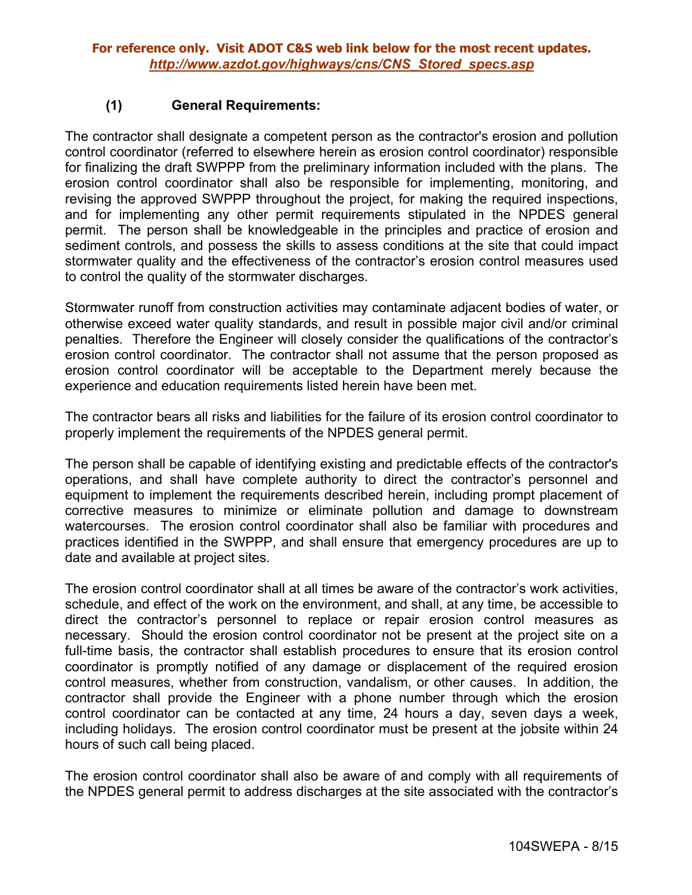### **(1) General Requirements:**

The contractor shall designate a competent person as the contractor's erosion and pollution control coordinator (referred to elsewhere herein as erosion control coordinator) responsible for finalizing the draft SWPPP from the preliminary information included with the plans. The erosion control coordinator shall also be responsible for implementing, monitoring, and revising the approved SWPPP throughout the project, for making the required inspections, and for implementing any other permit requirements stipulated in the NPDES general permit. The person shall be knowledgeable in the principles and practice of erosion and sediment controls, and possess the skills to assess conditions at the site that could impact stormwater quality and the effectiveness of the contractor's erosion control measures used to control the quality of the stormwater discharges.

Stormwater runoff from construction activities may contaminate adjacent bodies of water, or otherwise exceed water quality standards, and result in possible major civil and/or criminal penalties. Therefore the Engineer will closely consider the qualifications of the contractor's erosion control coordinator. The contractor shall not assume that the person proposed as erosion control coordinator will be acceptable to the Department merely because the experience and education requirements listed herein have been met.

The contractor bears all risks and liabilities for the failure of its erosion control coordinator to properly implement the requirements of the NPDES general permit.

The person shall be capable of identifying existing and predictable effects of the contractor's operations, and shall have complete authority to direct the contractor's personnel and equipment to implement the requirements described herein, including prompt placement of corrective measures to minimize or eliminate pollution and damage to downstream watercourses. The erosion control coordinator shall also be familiar with procedures and practices identified in the SWPPP, and shall ensure that emergency procedures are up to date and available at project sites.

The erosion control coordinator shall at all times be aware of the contractor's work activities, schedule, and effect of the work on the environment, and shall, at any time, be accessible to direct the contractor's personnel to replace or repair erosion control measures as necessary. Should the erosion control coordinator not be present at the project site on a full-time basis, the contractor shall establish procedures to ensure that its erosion control coordinator is promptly notified of any damage or displacement of the required erosion control measures, whether from construction, vandalism, or other causes. In addition, the contractor shall provide the Engineer with a phone number through which the erosion control coordinator can be contacted at any time, 24 hours a day, seven days a week, including holidays. The erosion control coordinator must be present at the jobsite within 24 hours of such call being placed.

The erosion control coordinator shall also be aware of and comply with all requirements of the NPDES general permit to address discharges at the site associated with the contractor's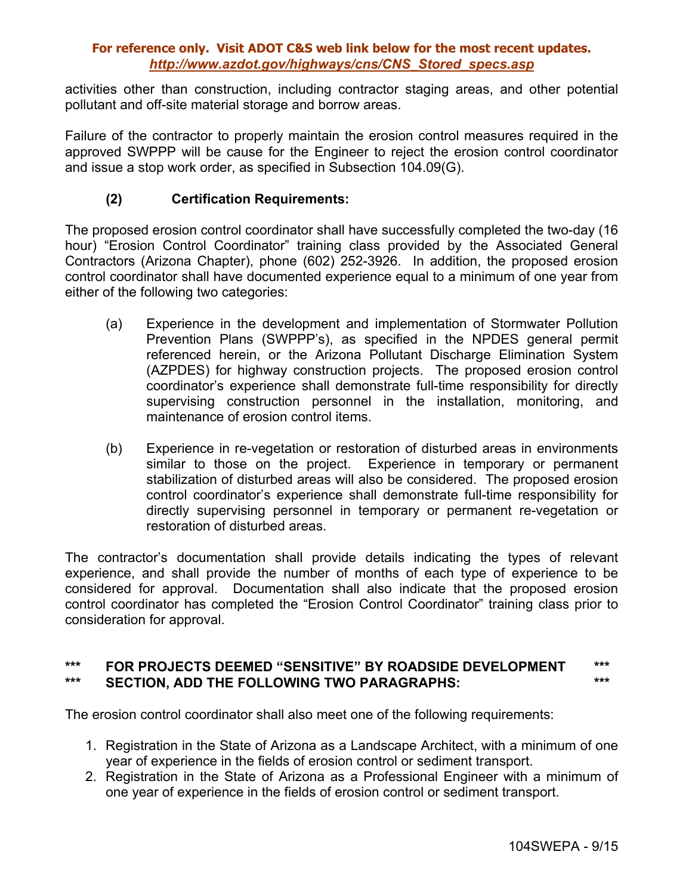activities other than construction, including contractor staging areas, and other potential pollutant and off-site material storage and borrow areas.

Failure of the contractor to properly maintain the erosion control measures required in the approved SWPPP will be cause for the Engineer to reject the erosion control coordinator and issue a stop work order, as specified in Subsection 104.09(G).

# **(2) Certification Requirements:**

The proposed erosion control coordinator shall have successfully completed the two-day (16 hour) "Erosion Control Coordinator" training class provided by the Associated General Contractors (Arizona Chapter), phone (602) 252-3926. In addition, the proposed erosion control coordinator shall have documented experience equal to a minimum of one year from either of the following two categories:

- (a) Experience in the development and implementation of Stormwater Pollution Prevention Plans (SWPPP's), as specified in the NPDES general permit referenced herein, or the Arizona Pollutant Discharge Elimination System (AZPDES) for highway construction projects. The proposed erosion control coordinator's experience shall demonstrate full-time responsibility for directly supervising construction personnel in the installation, monitoring, and maintenance of erosion control items.
- (b) Experience in re-vegetation or restoration of disturbed areas in environments similar to those on the project. Experience in temporary or permanent stabilization of disturbed areas will also be considered. The proposed erosion control coordinator's experience shall demonstrate full-time responsibility for directly supervising personnel in temporary or permanent re-vegetation or restoration of disturbed areas.

The contractor's documentation shall provide details indicating the types of relevant experience, and shall provide the number of months of each type of experience to be considered for approval. Documentation shall also indicate that the proposed erosion control coordinator has completed the "Erosion Control Coordinator" training class prior to consideration for approval.

### **\*\*\* FOR PROJECTS DEEMED "SENSITIVE" BY ROADSIDE DEVELOPMENT \*\*\* \*\*\* SECTION, ADD THE FOLLOWING TWO PARAGRAPHS: \*\*\***

The erosion control coordinator shall also meet one of the following requirements:

- 1. Registration in the State of Arizona as a Landscape Architect, with a minimum of one year of experience in the fields of erosion control or sediment transport.
- 2. Registration in the State of Arizona as a Professional Engineer with a minimum of one year of experience in the fields of erosion control or sediment transport.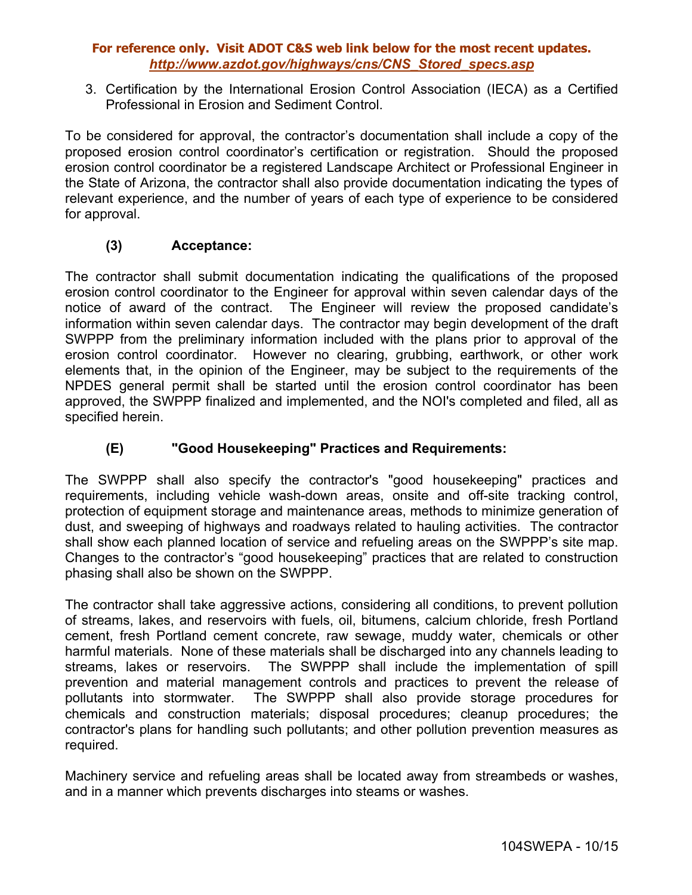3. Certification by the International Erosion Control Association (IECA) as a Certified Professional in Erosion and Sediment Control.

To be considered for approval, the contractor's documentation shall include a copy of the proposed erosion control coordinator's certification or registration. Should the proposed erosion control coordinator be a registered Landscape Architect or Professional Engineer in the State of Arizona, the contractor shall also provide documentation indicating the types of relevant experience, and the number of years of each type of experience to be considered for approval.

# **(3) Acceptance:**

The contractor shall submit documentation indicating the qualifications of the proposed erosion control coordinator to the Engineer for approval within seven calendar days of the notice of award of the contract. The Engineer will review the proposed candidate's information within seven calendar days. The contractor may begin development of the draft SWPPP from the preliminary information included with the plans prior to approval of the erosion control coordinator. However no clearing, grubbing, earthwork, or other work elements that, in the opinion of the Engineer, may be subject to the requirements of the NPDES general permit shall be started until the erosion control coordinator has been approved, the SWPPP finalized and implemented, and the NOI's completed and filed, all as specified herein.

# **(E) "Good Housekeeping" Practices and Requirements:**

The SWPPP shall also specify the contractor's "good housekeeping" practices and requirements, including vehicle wash-down areas, onsite and off-site tracking control, protection of equipment storage and maintenance areas, methods to minimize generation of dust, and sweeping of highways and roadways related to hauling activities. The contractor shall show each planned location of service and refueling areas on the SWPPP's site map. Changes to the contractor's "good housekeeping" practices that are related to construction phasing shall also be shown on the SWPPP.

The contractor shall take aggressive actions, considering all conditions, to prevent pollution of streams, lakes, and reservoirs with fuels, oil, bitumens, calcium chloride, fresh Portland cement, fresh Portland cement concrete, raw sewage, muddy water, chemicals or other harmful materials. None of these materials shall be discharged into any channels leading to streams, lakes or reservoirs. The SWPPP shall include the implementation of spill prevention and material management controls and practices to prevent the release of pollutants into stormwater. The SWPPP shall also provide storage procedures for chemicals and construction materials; disposal procedures; cleanup procedures; the contractor's plans for handling such pollutants; and other pollution prevention measures as required.

Machinery service and refueling areas shall be located away from streambeds or washes, and in a manner which prevents discharges into steams or washes.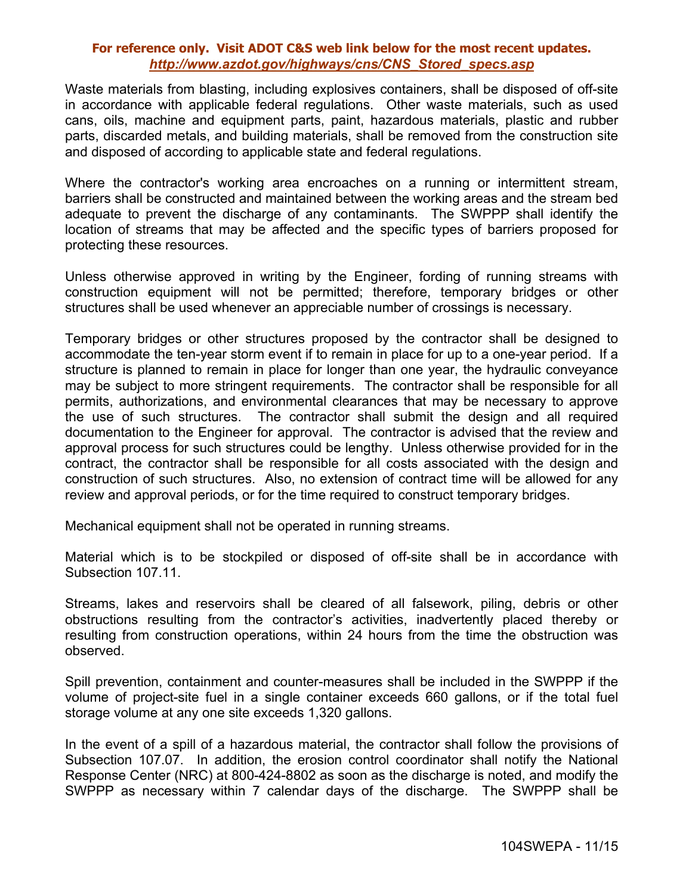Waste materials from blasting, including explosives containers, shall be disposed of off-site in accordance with applicable federal regulations. Other waste materials, such as used cans, oils, machine and equipment parts, paint, hazardous materials, plastic and rubber parts, discarded metals, and building materials, shall be removed from the construction site and disposed of according to applicable state and federal regulations.

Where the contractor's working area encroaches on a running or intermittent stream, barriers shall be constructed and maintained between the working areas and the stream bed adequate to prevent the discharge of any contaminants. The SWPPP shall identify the location of streams that may be affected and the specific types of barriers proposed for protecting these resources.

Unless otherwise approved in writing by the Engineer, fording of running streams with construction equipment will not be permitted; therefore, temporary bridges or other structures shall be used whenever an appreciable number of crossings is necessary.

Temporary bridges or other structures proposed by the contractor shall be designed to accommodate the ten-year storm event if to remain in place for up to a one-year period. If a structure is planned to remain in place for longer than one year, the hydraulic conveyance may be subject to more stringent requirements. The contractor shall be responsible for all permits, authorizations, and environmental clearances that may be necessary to approve the use of such structures. The contractor shall submit the design and all required documentation to the Engineer for approval. The contractor is advised that the review and approval process for such structures could be lengthy. Unless otherwise provided for in the contract, the contractor shall be responsible for all costs associated with the design and construction of such structures. Also, no extension of contract time will be allowed for any review and approval periods, or for the time required to construct temporary bridges.

Mechanical equipment shall not be operated in running streams.

Material which is to be stockpiled or disposed of off-site shall be in accordance with Subsection 107.11.

Streams, lakes and reservoirs shall be cleared of all falsework, piling, debris or other obstructions resulting from the contractor's activities, inadvertently placed thereby or resulting from construction operations, within 24 hours from the time the obstruction was observed.

Spill prevention, containment and counter-measures shall be included in the SWPPP if the volume of project-site fuel in a single container exceeds 660 gallons, or if the total fuel storage volume at any one site exceeds 1,320 gallons.

In the event of a spill of a hazardous material, the contractor shall follow the provisions of Subsection 107.07. In addition, the erosion control coordinator shall notify the National Response Center (NRC) at 800-424-8802 as soon as the discharge is noted, and modify the SWPPP as necessary within 7 calendar days of the discharge. The SWPPP shall be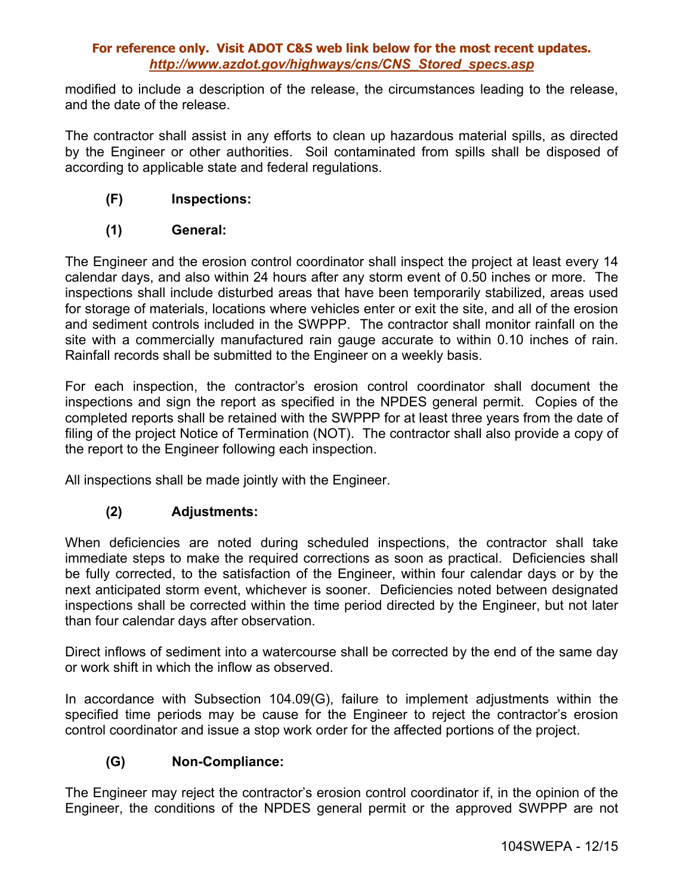modified to include a description of the release, the circumstances leading to the release, and the date of the release.

The contractor shall assist in any efforts to clean up hazardous material spills, as directed by the Engineer or other authorities. Soil contaminated from spills shall be disposed of according to applicable state and federal regulations.

# **(F) Inspections:**

# **(1) General:**

The Engineer and the erosion control coordinator shall inspect the project at least every 14 calendar days, and also within 24 hours after any storm event of 0.50 inches or more. The inspections shall include disturbed areas that have been temporarily stabilized, areas used for storage of materials, locations where vehicles enter or exit the site, and all of the erosion and sediment controls included in the SWPPP. The contractor shall monitor rainfall on the site with a commercially manufactured rain gauge accurate to within 0.10 inches of rain. Rainfall records shall be submitted to the Engineer on a weekly basis.

For each inspection, the contractor's erosion control coordinator shall document the inspections and sign the report as specified in the NPDES general permit. Copies of the completed reports shall be retained with the SWPPP for at least three years from the date of filing of the project Notice of Termination (NOT). The contractor shall also provide a copy of the report to the Engineer following each inspection.

All inspections shall be made jointly with the Engineer.

# **(2) Adjustments:**

When deficiencies are noted during scheduled inspections, the contractor shall take immediate steps to make the required corrections as soon as practical. Deficiencies shall be fully corrected, to the satisfaction of the Engineer, within four calendar days or by the next anticipated storm event, whichever is sooner. Deficiencies noted between designated inspections shall be corrected within the time period directed by the Engineer, but not later than four calendar days after observation.

Direct inflows of sediment into a watercourse shall be corrected by the end of the same day or work shift in which the inflow as observed.

In accordance with Subsection 104.09(G), failure to implement adjustments within the specified time periods may be cause for the Engineer to reject the contractor's erosion control coordinator and issue a stop work order for the affected portions of the project.

# **(G) Non-Compliance:**

The Engineer may reject the contractor's erosion control coordinator if, in the opinion of the Engineer, the conditions of the NPDES general permit or the approved SWPPP are not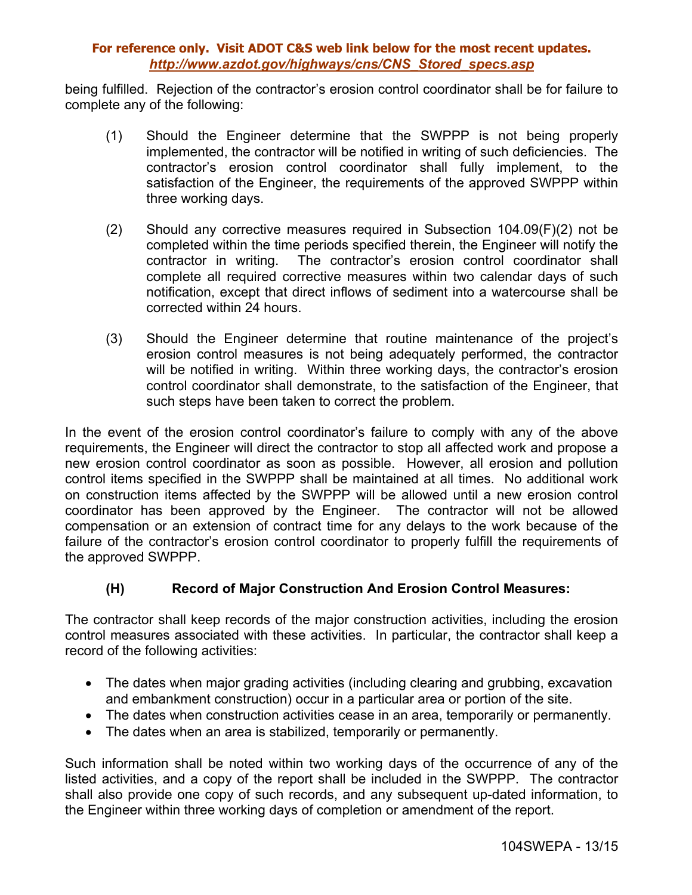being fulfilled. Rejection of the contractor's erosion control coordinator shall be for failure to complete any of the following:

- (1) Should the Engineer determine that the SWPPP is not being properly implemented, the contractor will be notified in writing of such deficiencies. The contractor's erosion control coordinator shall fully implement, to the satisfaction of the Engineer, the requirements of the approved SWPPP within three working days.
- (2) Should any corrective measures required in Subsection 104.09(F)(2) not be completed within the time periods specified therein, the Engineer will notify the contractor in writing. The contractor's erosion control coordinator shall complete all required corrective measures within two calendar days of such notification, except that direct inflows of sediment into a watercourse shall be corrected within 24 hours.
- (3) Should the Engineer determine that routine maintenance of the project's erosion control measures is not being adequately performed, the contractor will be notified in writing. Within three working days, the contractor's erosion control coordinator shall demonstrate, to the satisfaction of the Engineer, that such steps have been taken to correct the problem.

In the event of the erosion control coordinator's failure to comply with any of the above requirements, the Engineer will direct the contractor to stop all affected work and propose a new erosion control coordinator as soon as possible. However, all erosion and pollution control items specified in the SWPPP shall be maintained at all times. No additional work on construction items affected by the SWPPP will be allowed until a new erosion control coordinator has been approved by the Engineer. The contractor will not be allowed compensation or an extension of contract time for any delays to the work because of the failure of the contractor's erosion control coordinator to properly fulfill the requirements of the approved SWPPP.

# **(H) Record of Major Construction And Erosion Control Measures:**

The contractor shall keep records of the major construction activities, including the erosion control measures associated with these activities. In particular, the contractor shall keep a record of the following activities:

- The dates when major grading activities (including clearing and grubbing, excavation and embankment construction) occur in a particular area or portion of the site.
- The dates when construction activities cease in an area, temporarily or permanently.
- The dates when an area is stabilized, temporarily or permanently.

Such information shall be noted within two working days of the occurrence of any of the listed activities, and a copy of the report shall be included in the SWPPP. The contractor shall also provide one copy of such records, and any subsequent up-dated information, to the Engineer within three working days of completion or amendment of the report.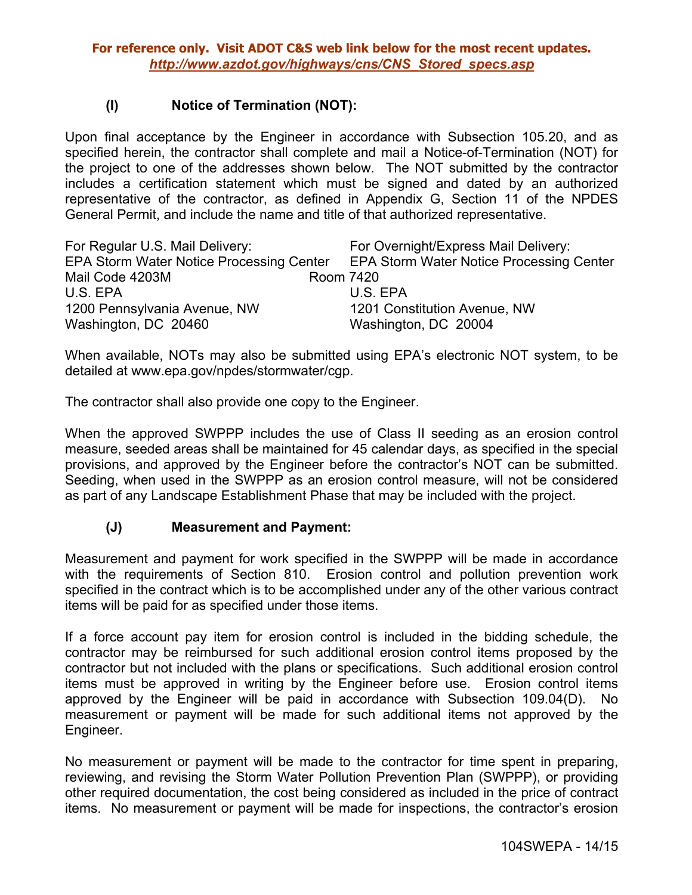### **(I) Notice of Termination (NOT):**

Upon final acceptance by the Engineer in accordance with Subsection 105.20, and as specified herein, the contractor shall complete and mail a Notice-of-Termination (NOT) for the project to one of the addresses shown below. The NOT submitted by the contractor includes a certification statement which must be signed and dated by an authorized representative of the contractor, as defined in Appendix G, Section 11 of the NPDES General Permit, and include the name and title of that authorized representative.

| For Regular U.S. Mail Delivery:                 | For Overnight/Express Mail Delivery:     |
|-------------------------------------------------|------------------------------------------|
| <b>EPA Storm Water Notice Processing Center</b> | EPA Storm Water Notice Processing Center |
| Mail Code 4203M                                 | Room 7420                                |
| U.S. EPA                                        | U.S. EPA                                 |
| 1200 Pennsylvania Avenue, NW                    | 1201 Constitution Avenue, NW             |
| Washington, DC 20460                            | Washington, DC 20004                     |

When available, NOTs may also be submitted using EPA's electronic NOT system, to be detailed at www.epa.gov/npdes/stormwater/cgp.

The contractor shall also provide one copy to the Engineer.

When the approved SWPPP includes the use of Class II seeding as an erosion control measure, seeded areas shall be maintained for 45 calendar days, as specified in the special provisions, and approved by the Engineer before the contractor's NOT can be submitted. Seeding, when used in the SWPPP as an erosion control measure, will not be considered as part of any Landscape Establishment Phase that may be included with the project.

### **(J) Measurement and Payment:**

Measurement and payment for work specified in the SWPPP will be made in accordance with the requirements of Section 810. Erosion control and pollution prevention work specified in the contract which is to be accomplished under any of the other various contract items will be paid for as specified under those items.

If a force account pay item for erosion control is included in the bidding schedule, the contractor may be reimbursed for such additional erosion control items proposed by the contractor but not included with the plans or specifications. Such additional erosion control items must be approved in writing by the Engineer before use. Erosion control items approved by the Engineer will be paid in accordance with Subsection 109.04(D). No measurement or payment will be made for such additional items not approved by the Engineer.

No measurement or payment will be made to the contractor for time spent in preparing, reviewing, and revising the Storm Water Pollution Prevention Plan (SWPPP), or providing other required documentation, the cost being considered as included in the price of contract items. No measurement or payment will be made for inspections, the contractor's erosion